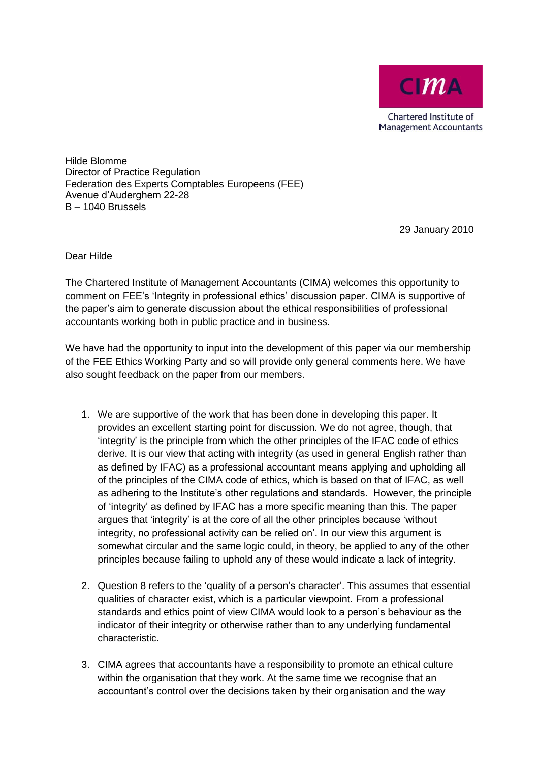

Hilde Blomme Director of Practice Regulation Federation des Experts Comptables Europeens (FEE) Avenue d'Auderghem 22-28 B – 1040 Brussels

29 January 2010

Dear Hilde

The Chartered Institute of Management Accountants (CIMA) welcomes this opportunity to comment on FEE's 'Integrity in professional ethics' discussion paper. CIMA is supportive of the paper's aim to generate discussion about the ethical responsibilities of professional accountants working both in public practice and in business.

We have had the opportunity to input into the development of this paper via our membership of the FEE Ethics Working Party and so will provide only general comments here. We have also sought feedback on the paper from our members.

- 1. We are supportive of the work that has been done in developing this paper. It provides an excellent starting point for discussion. We do not agree, though, that 'integrity' is the principle from which the other principles of the IFAC code of ethics derive. It is our view that acting with integrity (as used in general English rather than as defined by IFAC) as a professional accountant means applying and upholding all of the principles of the CIMA code of ethics, which is based on that of IFAC, as well as adhering to the Institute's other regulations and standards. However, the principle of 'integrity' as defined by IFAC has a more specific meaning than this. The paper argues that 'integrity' is at the core of all the other principles because 'without integrity, no professional activity can be relied on'. In our view this argument is somewhat circular and the same logic could, in theory, be applied to any of the other principles because failing to uphold any of these would indicate a lack of integrity.
- 2. Question 8 refers to the 'quality of a person's character'. This assumes that essential qualities of character exist, which is a particular viewpoint. From a professional standards and ethics point of view CIMA would look to a person's behaviour as the indicator of their integrity or otherwise rather than to any underlying fundamental characteristic.
- 3. CIMA agrees that accountants have a responsibility to promote an ethical culture within the organisation that they work. At the same time we recognise that an accountant's control over the decisions taken by their organisation and the way